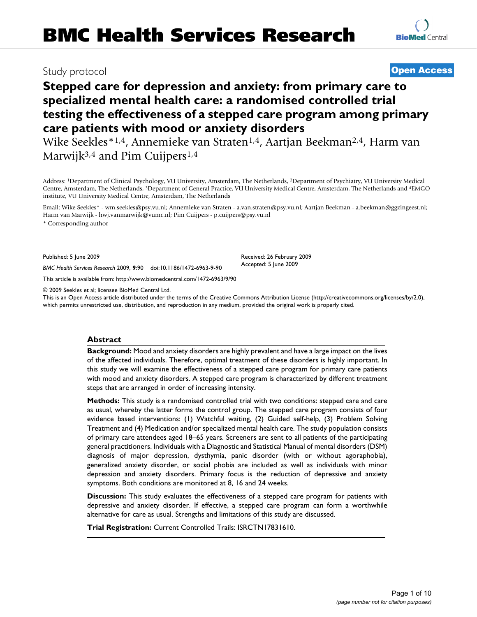# Study protocol **[Open Access](http://www.biomedcentral.com/info/about/charter/)**

# **Stepped care for depression and anxiety: from primary care to specialized mental health care: a randomised controlled trial testing the effectiveness of a stepped care program among primary care patients with mood or anxiety disorders**

Wike Seekles<sup>\*1,4</sup>, Annemieke van Straten<sup>1,4</sup>, Aartjan Beekman<sup>2,4</sup>, Harm van Marwijk<sup>3,4</sup> and Pim Cuijpers<sup>1,4</sup>

Address: 1Department of Clinical Psychology, VU University, Amsterdam, The Netherlands, 2Department of Psychiatry, VU University Medical Centre, Amsterdam, The Netherlands, 3Department of General Practice, VU University Medical Centre, Amsterdam, The Netherlands and 4EMGO institute, VU University Medical Centre, Amsterdam, The Netherlands

Email: Wike Seekles\* - wm.seekles@psy.vu.nl; Annemieke van Straten - a.van.straten@psy.vu.nl; Aartjan Beekman - a.beekman@ggzingeest.nl; Harm van Marwijk - hwj.vanmarwijk@vumc.nl; Pim Cuijpers - p.cuijpers@psy.vu.nl

\* Corresponding author

Published: 5 June 2009

*BMC Health Services Research* 2009, **9**:90 doi:10.1186/1472-6963-9-90

[This article is available from: http://www.biomedcentral.com/1472-6963/9/90](http://www.biomedcentral.com/1472-6963/9/90)

© 2009 Seekles et al; licensee BioMed Central Ltd.

This is an Open Access article distributed under the terms of the Creative Commons Attribution License [\(http://creativecommons.org/licenses/by/2.0\)](http://creativecommons.org/licenses/by/2.0), which permits unrestricted use, distribution, and reproduction in any medium, provided the original work is properly cited.

#### **Abstract**

**Background:** Mood and anxiety disorders are highly prevalent and have a large impact on the lives of the affected individuals. Therefore, optimal treatment of these disorders is highly important. In this study we will examine the effectiveness of a stepped care program for primary care patients with mood and anxiety disorders. A stepped care program is characterized by different treatment steps that are arranged in order of increasing intensity.

**Methods:** This study is a randomised controlled trial with two conditions: stepped care and care as usual, whereby the latter forms the control group. The stepped care program consists of four evidence based interventions: (1) Watchful waiting, (2) Guided self-help, (3) Problem Solving Treatment and (4) Medication and/or specialized mental health care. The study population consists of primary care attendees aged 18–65 years. Screeners are sent to all patients of the participating general practitioners. Individuals with a Diagnostic and Statistical Manual of mental disorders (DSM) diagnosis of major depression, dysthymia, panic disorder (with or without agoraphobia), generalized anxiety disorder, or social phobia are included as well as individuals with minor depression and anxiety disorders. Primary focus is the reduction of depressive and anxiety symptoms. Both conditions are monitored at 8, 16 and 24 weeks.

**Discussion:** This study evaluates the effectiveness of a stepped care program for patients with depressive and anxiety disorder. If effective, a stepped care program can form a worthwhile alternative for care as usual. Strengths and limitations of this study are discussed.

**Trial Registration:** Current Controlled Trails: ISRCTN17831610.

Received: 26 February 2009 Accepted: 5 June 2009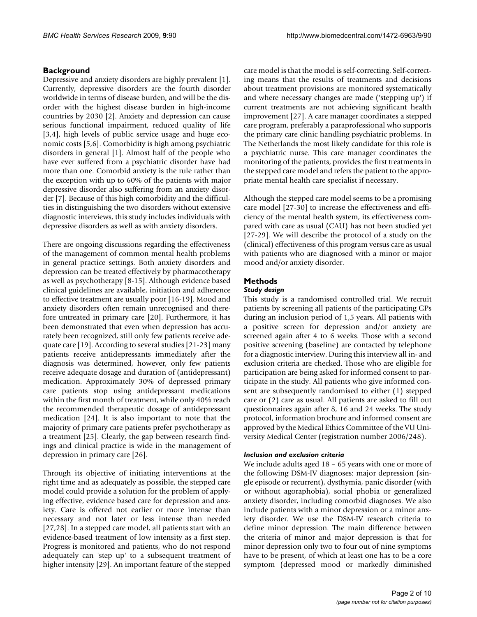# **Background**

Depressive and anxiety disorders are highly prevalent [1]. Currently, depressive disorders are the fourth disorder worldwide in terms of disease burden, and will be the disorder with the highest disease burden in high-income countries by 2030 [2]. Anxiety and depression can cause serious functional impairment, reduced quality of life [3,4], high levels of public service usage and huge economic costs [5,6]. Comorbidity is high among psychiatric disorders in general [1]. Almost half of the people who have ever suffered from a psychiatric disorder have had more than one. Comorbid anxiety is the rule rather than the exception with up to 60% of the patients with major depressive disorder also suffering from an anxiety disorder [7]. Because of this high comorbidity and the difficulties in distinguishing the two disorders without extensive diagnostic interviews, this study includes individuals with depressive disorders as well as with anxiety disorders.

There are ongoing discussions regarding the effectiveness of the management of common mental health problems in general practice settings. Both anxiety disorders and depression can be treated effectively by pharmacotherapy as well as psychotherapy [8-15]. Although evidence based clinical guidelines are available, initiation and adherence to effective treatment are usually poor [16-19]. Mood and anxiety disorders often remain unrecognised and therefore untreated in primary care [20]. Furthermore, it has been demonstrated that even when depression has accurately been recognized, still only few patients receive adequate care [19]. According to several studies [21-23] many patients receive antidepressants immediately after the diagnosis was determined, however, only few patients receive adequate dosage and duration of (antidepressant) medication. Approximately 30% of depressed primary care patients stop using antidepressant medications within the first month of treatment, while only 40% reach the recommended therapeutic dosage of antidepressant medication [24]. It is also important to note that the majority of primary care patients prefer psychotherapy as a treatment [25]. Clearly, the gap between research findings and clinical practice is wide in the management of depression in primary care [26].

Through its objective of initiating interventions at the right time and as adequately as possible, the stepped care model could provide a solution for the problem of applying effective, evidence based care for depression and anxiety. Care is offered not earlier or more intense than necessary and not later or less intense than needed [27,28]. In a stepped care model, all patients start with an evidence-based treatment of low intensity as a first step. Progress is monitored and patients, who do not respond adequately can 'step up' to a subsequent treatment of higher intensity [29]. An important feature of the stepped

care model is that the model is self-correcting. Self-correcting means that the results of treatments and decisions about treatment provisions are monitored systematically and where necessary changes are made ('stepping up') if current treatments are not achieving significant health improvement [27]. A care manager coordinates a stepped care program, preferably a paraprofessional who supports the primary care clinic handling psychiatric problems. In The Netherlands the most likely candidate for this role is a psychiatric nurse. This care manager coordinates the monitoring of the patients, provides the first treatments in the stepped care model and refers the patient to the appropriate mental health care specialist if necessary.

Although the stepped care model seems to be a promising care model [27-30] to increase the effectiveness and efficiency of the mental health system, its effectiveness compared with care as usual (CAU) has not been studied yet [27-29]. We will describe the protocol of a study on the (clinical) effectiveness of this program versus care as usual with patients who are diagnosed with a minor or major mood and/or anxiety disorder.

# **Methods**

# *Study design*

This study is a randomised controlled trial. We recruit patients by screening all patients of the participating GPs during an inclusion period of 1,5 years. All patients with a positive screen for depression and/or anxiety are screened again after 4 to 6 weeks. Those with a second positive screening (baseline) are contacted by telephone for a diagnostic interview. During this interview all in- and exclusion criteria are checked. Those who are eligible for participation are being asked for informed consent to participate in the study. All patients who give informed consent are subsequently randomised to either (1) stepped care or (2) care as usual. All patients are asked to fill out questionnaires again after 8, 16 and 24 weeks. The study protocol, information brochure and informed consent are approved by the Medical Ethics Committee of the VU University Medical Center (registration number 2006/248).

# *Inclusion and exclusion criteria*

We include adults aged 18 – 65 years with one or more of the following DSM-IV diagnoses: major depression (single episode or recurrent), dysthymia, panic disorder (with or without agoraphobia), social phobia or generalized anxiety disorder, including comorbid diagnoses. We also include patients with a minor depression or a minor anxiety disorder. We use the DSM-IV research criteria to define minor depression. The main difference between the criteria of minor and major depression is that for minor depression only two to four out of nine symptoms have to be present, of which at least one has to be a core symptom (depressed mood or markedly diminished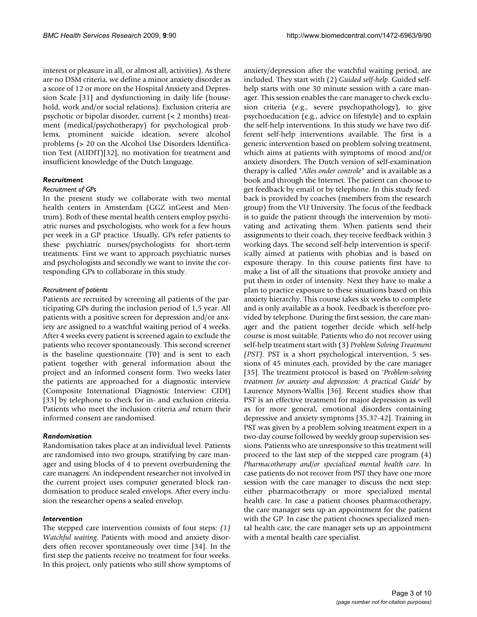interest or pleasure in all, or almost all, activities). As there are no DSM criteria, we define a minor anxiety disorder as a score of 12 or more on the Hospital Anxiety and Depression Scale [31] and dysfunctioning in daily life (household, work and/or social relations). Exclusion criteria are psychotic or bipolar disorder, current (< 2 months) treatment (medical/psychotherapy) for psychological problems, prominent suicide ideation, severe alcohol problems (> 20 on the Alcohol Use Disorders Identification Test (AUDIT)[32], no motivation for treatment and insufficient knowledge of the Dutch language.

#### *Recruitment*

# *Recruitment of GPs*

In the present study we collaborate with two mental health centers in Amsterdam (GGZ inGeest and Mentrum). Both of these mental health centers employ psychiatric nurses and psychologists, who work for a few hours per week in a GP practice. Usually, GPs refer patients to these psychiatric nurses/psychologists for short-term treatments. First we want to approach psychiatric nurses and psychologists and secondly we want to invite the corresponding GPs to collaborate in this study.

# *Recruitment of patients*

Patients are recruited by screening all patients of the participating GPs during the inclusion period of 1,5 year. All patients with a positive screen for depression and/or anxiety are assigned to a watchful waiting period of 4 weeks. After 4 weeks every patient is screened again to exclude the patients who recover spontaneously. This second screener is the baseline questionnaire (T0) and is sent to each patient together with general information about the project and an informed consent form. Two weeks later the patients are approached for a diagnostic interview (Composite International Diagnostic Interview: CIDI) [33] by telephone to check for in- and exclusion criteria. Patients who meet the inclusion criteria *and* return their informed consent are randomised.

## *Randomisation*

Randomisation takes place at an individual level. Patients are randomised into two groups, stratifying by care manager and using blocks of 4 to prevent overburdening the care managers. An independent researcher not involved in the current project uses computer generated block randomisation to produce sealed envelops. After every inclusion the researcher opens a sealed envelop.

#### *Intervention*

The stepped care intervention consists of four steps: *(1) Watchful waiting*. Patients with mood and anxiety disorders often recover spontaneously over time [34]. In the first step the patients receive no treatment for four weeks. In this project, only patients who still show symptoms of anxiety/depression after the watchful waiting period, are included. They start with (2) *Guided self-help*. Guided selfhelp starts with one 30 minute session with a care manager. This session enables the care manager to check exclusion criteria (e.g., severe psychopathology), to give psychoeducation (e.g., advice on lifestyle) and to explain the self-help interventions. In this study we have two different self-help interventions available. The first is a generic intervention based on problem solving treatment, which aims at patients with symptoms of mood and/or anxiety disorders. The Dutch version of self-examination therapy is called "*Alles onder controle*" and is available as a book and through the Internet. The patient can choose to get feedback by email or by telephone. In this study feedback is provided by coaches (members from the research group) from the VU University. The focus of the feedback is to guide the patient through the intervention by motivating and activating them. When patients send their assignments to their coach, they receive feedback within 3 working days. The second self-help intervention is specifically aimed at patients with phobias and is based on exposure therapy. In this course patients first have to make a list of all the situations that provoke anxiety and put them in order of intensity. Next they have to make a plan to practice exposure to these situations based on this anxiety hierarchy. This course takes six weeks to complete and is only available as a book. Feedback is therefore provided by telephone. During the first session, the care manager and the patient together decide which self-help course is most suitable. Patients who do not recover using self-help treatment start with (3) *Problem Solving Treatment (PST)*. PST is a short psychological intervention, 5 sessions of 45 minutes each, provided by the care manager [35]. The treatment protocol is based on '*Problem-solving treatment for anxiety and depression: A practical Guide*' by Laurence Mynors-Wallis [36]. Recent studies show that PST is an effective treatment for major depression as well as for more general, emotional disorders containing depressive and anxiety symptoms [35,37-42]. Training in PST was given by a problem solving treatment expert in a two-day course followed by weekly group supervision sessions. Patients who are unresponsive to this treatment will proceed to the last step of the stepped care program (4) *Pharmacotherapy and/or specialized mental health care*. In case patients do not recover from PST they have one more session with the care manager to discuss the next step: either pharmacotherapy or more specialized mental health care. In case a patient chooses pharmacotherapy, the care manager sets up an appointment for the patient with the GP. In case the patient chooses specialized mental health care, the care manager sets up an appointment with a mental health care specialist.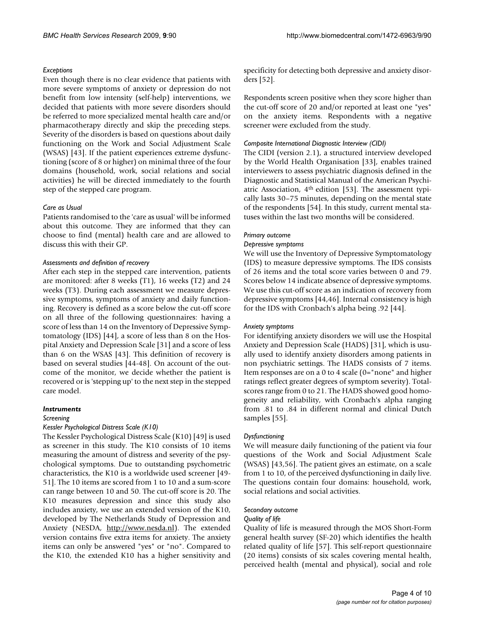#### *Exceptions*

Even though there is no clear evidence that patients with more severe symptoms of anxiety or depression do not benefit from low intensity (self-help) interventions, we decided that patients with more severe disorders should be referred to more specialized mental health care and/or pharmacotherapy directly and skip the preceding steps. Severity of the disorders is based on questions about daily functioning on the Work and Social Adjustment Scale (WSAS) [43]. If the patient experiences extreme dysfunctioning (score of 8 or higher) on minimal three of the four domains (household, work, social relations and social activities) he will be directed immediately to the fourth step of the stepped care program.

# *Care as Usual*

Patients randomised to the 'care as usual' will be informed about this outcome. They are informed that they can choose to find (mental) health care and are allowed to discuss this with their GP.

#### *Assessments and definition of recovery*

After each step in the stepped care intervention, patients are monitored: after 8 weeks (T1), 16 weeks (T2) and 24 weeks (T3). During each assessment we measure depressive symptoms, symptoms of anxiety and daily functioning. Recovery is defined as a score below the cut-off score on all three of the following questionnaires: having a score of less than 14 on the Inventory of Depressive Symptomatology (IDS) [44], a score of less than 8 on the Hospital Anxiety and Depression Scale [31] and a score of less than 6 on the WSAS [43]. This definition of recovery is based on several studies [44-48]. On account of the outcome of the monitor, we decide whether the patient is recovered or is 'stepping up' to the next step in the stepped care model.

#### *Instruments*

#### *Screening*

#### *Kessler Psychological Distress Scale (K10)*

The Kessler Psychological Distress Scale (K10) [49] is used as screener in this study. The K10 consists of 10 items measuring the amount of distress and severity of the psychological symptoms. Due to outstanding psychometric characteristics, the K10 is a worldwide used screener [49- 51]. The 10 items are scored from 1 to 10 and a sum-score can range between 10 and 50. The cut-off score is 20. The K10 measures depression and since this study also includes anxiety, we use an extended version of the K10, developed by The Netherlands Study of Depression and Anxiety (NESDA, [http://www.nesda.nl\)](http://www.nesda.nl). The extended version contains five extra items for anxiety. The anxiety items can only be answered "yes" or "no". Compared to the K10, the extended K10 has a higher sensitivity and specificity for detecting both depressive and anxiety disorders [52].

Respondents screen positive when they score higher than the cut-off score of 20 and/or reported at least one "yes" on the anxiety items. Respondents with a negative screener were excluded from the study.

#### *Composite International Diagnostic Interview (CIDI)*

The CIDI (version 2.1), a structured interview developed by the World Health Organisation [33], enables trained interviewers to assess psychiatric diagnosis defined in the Diagnostic and Statistical Manual of the American Psychiatric Association, 4th edition [53]. The assessment typically lasts 30–75 minutes, depending on the mental state of the respondents [54]. In this study, current mental statuses within the last two months will be considered.

#### *Primary outcome*

#### *Depressive symptoms*

We will use the Inventory of Depressive Symptomatology (IDS) to measure depressive symptoms. The IDS consists of 26 items and the total score varies between 0 and 79. Scores below 14 indicate absence of depressive symptoms. We use this cut-off score as an indication of recovery from depressive symptoms [44,46]. Internal consistency is high for the IDS with Cronbach's alpha being .92 [44].

#### *Anxiety symptoms*

For identifying anxiety disorders we will use the Hospital Anxiety and Depression Scale (HADS) [31], which is usually used to identify anxiety disorders among patients in non psychiatric settings. The HADS consists of 7 items. Item responses are on a 0 to 4 scale (0="none" and higher ratings reflect greater degrees of symptom severity). Totalscores range from 0 to 21. The HADS showed good homogeneity and reliability, with Cronbach's alpha ranging from .81 to .84 in different normal and clinical Dutch samples [55].

#### *Dysfunctioning*

We will measure daily functioning of the patient via four questions of the Work and Social Adjustment Scale (WSAS) [43,56]. The patient gives an estimate, on a scale from 1 to 10, of the perceived dysfunctioning in daily live. The questions contain four domains: household, work, social relations and social activities.

#### *Secondary outcome*

#### *Quality of life*

Quality of life is measured through the MOS Short-Form general health survey (SF-20) which identifies the health related quality of life [57]. This self-report questionnaire (20 items) consists of six scales covering mental health, perceived health (mental and physical), social and role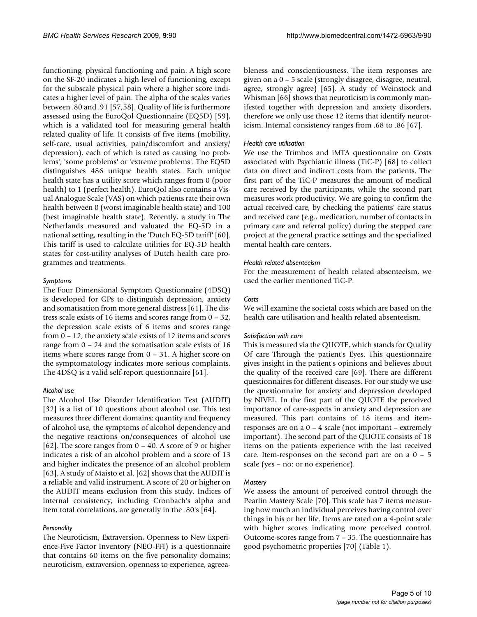functioning, physical functioning and pain. A high score on the SF-20 indicates a high level of functioning, except for the subscale physical pain where a higher score indicates a higher level of pain. The alpha of the scales varies between .80 and .91 [57,58]. Quality of life is furthermore assessed using the EuroQol Questionnaire (EQ5D) [59], which is a validated tool for measuring general health related quality of life. It consists of five items (mobility, self-care, usual activities, pain/discomfort and anxiety/ depression), each of which is rated as causing 'no problems', 'some problems' or 'extreme problems'. The EQ5D distinguishes 486 unique health states. Each unique health state has a utility score which ranges from 0 (poor health) to 1 (perfect health). EuroQol also contains a Visual Analogue Scale (VAS) on which patients rate their own health between 0 (worst imaginable health state) and 100 (best imaginable health state). Recently, a study in The Netherlands measured and valuated the EQ-5D in a national setting, resulting in the 'Dutch EQ-5D tariff' [60]. This tariff is used to calculate utilities for EQ-5D health states for cost-utility analyses of Dutch health care programmes and treatments.

#### *Symptoms*

The Four Dimensional Symptom Questionnaire (4DSQ) is developed for GPs to distinguish depression, anxiety and somatisation from more general distress [61]. The distress scale exists of 16 items and scores range from 0 – 32, the depression scale exists of 6 items and scores range from 0 – 12, the anxiety scale exists of 12 items and scores range from 0 – 24 and the somatisation scale exists of 16 items where scores range from 0 – 31. A higher score on the symptomatology indicates more serious complaints. The 4DSQ is a valid self-report questionnaire [61].

#### *Alcohol use*

The Alcohol Use Disorder Identification Test (AUDIT) [32] is a list of 10 questions about alcohol use. This test measures three different domains: quantity and frequency of alcohol use, the symptoms of alcohol dependency and the negative reactions on/consequences of alcohol use [62]. The score ranges from  $0 - 40$ . A score of 9 or higher indicates a risk of an alcohol problem and a score of 13 and higher indicates the presence of an alcohol problem [63]. A study of Maisto et al. [62] shows that the AUDIT is a reliable and valid instrument. A score of 20 or higher on the AUDIT means exclusion from this study. Indices of internal consistency, including Cronbach's alpha and item total correlations, are generally in the .80's [64].

#### *Personality*

The Neuroticism, Extraversion, Openness to New Experience-Five Factor Inventory (NEO-FFI) is a questionnaire that contains 60 items on the five personality domains; neuroticism, extraversion, openness to experience, agreeableness and conscientiousness. The item responses are given on a 0 – 5 scale (strongly disagree, disagree, neutral, agree, strongly agree) [65]. A study of Weinstock and Whisman [66] shows that neuroticism is commonly manifested together with depression and anxiety disorders, therefore we only use those 12 items that identify neuroticism. Internal consistency ranges from .68 to .86 [67].

# *Health care utilisation*

We use the Trimbos and iMTA questionnaire on Costs associated with Psychiatric illness (TiC-P) [68] to collect data on direct and indirect costs from the patients. The first part of the TiC-P measures the amount of medical care received by the participants, while the second part measures work productivity. We are going to confirm the actual received care, by checking the patients' care status and received care (e.g., medication, number of contacts in primary care and referral policy) during the stepped care project at the general practice settings and the specialized mental health care centers.

#### *Health related absenteeism*

For the measurement of health related absenteeism, we used the earlier mentioned TiC-P.

#### *Costs*

We will examine the societal costs which are based on the health care utilisation and health related absenteeism.

#### *Satisfaction with care*

This is measured via the QUOTE, which stands for Quality Of care Through the patient's Eyes. This questionnaire gives insight in the patient's opinions and believes about the quality of the received care [69]. There are different questionnaires for different diseases. For our study we use the questionnaire for anxiety and depression developed by NIVEL. In the first part of the QUOTE the perceived importance of care-aspects in anxiety and depression are measured. This part contains of 18 items and itemresponses are on a 0 – 4 scale (not important – extremely important). The second part of the QUOTE consists of 18 items on the patients experience with the last received care. Item-responses on the second part are on a  $0 - 5$ scale (yes – no: or no experience).

#### *Mastery*

We assess the amount of perceived control through the Pearlin Mastery Scale [70]. This scale has 7 items measuring how much an individual perceives having control over things in his or her life. Items are rated on a 4-point scale with higher scores indicating more perceived control. Outcome-scores range from 7 – 35. The questionnaire has good psychometric properties [70] (Table 1).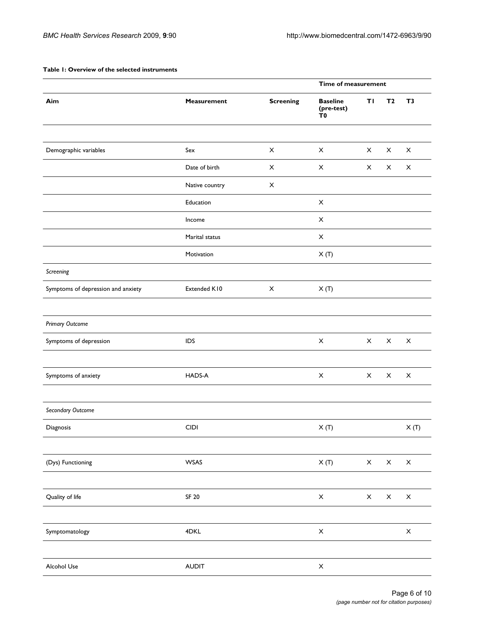# **Table 1: Overview of the selected instruments**

|                                    |                    |                           | Time of measurement                 |                           |                           |                           |  |
|------------------------------------|--------------------|---------------------------|-------------------------------------|---------------------------|---------------------------|---------------------------|--|
| Aim                                | <b>Measurement</b> | <b>Screening</b>          | <b>Baseline</b><br>(pre-test)<br>ŤΟ | ΤI                        | T <sub>2</sub>            | T <sub>3</sub>            |  |
|                                    |                    |                           |                                     |                           |                           |                           |  |
| Demographic variables              | Sex                | $\mathsf X$               | $\pmb{\times}$                      | $\mathsf X$               | $\mathsf X$               | $\pmb{\times}$            |  |
|                                    | Date of birth      | $\pmb{\times}$            | X                                   | X                         | X                         | X                         |  |
|                                    | Native country     | $\boldsymbol{\mathsf{X}}$ |                                     |                           |                           |                           |  |
|                                    | Education          |                           | $\mathsf X$                         |                           |                           |                           |  |
|                                    | Income             |                           | $\mathsf X$                         |                           |                           |                           |  |
|                                    | Marital status     |                           | $\boldsymbol{\mathsf{X}}$           |                           |                           |                           |  |
|                                    | Motivation         |                           | X(T)                                |                           |                           |                           |  |
| Screening                          |                    |                           |                                     |                           |                           |                           |  |
| Symptoms of depression and anxiety | Extended K10       | $\boldsymbol{\mathsf{X}}$ | X(T)                                |                           |                           |                           |  |
|                                    |                    |                           |                                     |                           |                           |                           |  |
| <b>Primary Outcome</b>             |                    |                           |                                     |                           |                           |                           |  |
| Symptoms of depression             | <b>IDS</b>         |                           | $\boldsymbol{\mathsf{X}}$           | $\mathsf{X}^-$            | $\mathsf X$               | $\pmb{\times}$            |  |
|                                    |                    |                           |                                     |                           |                           |                           |  |
| Symptoms of anxiety                | HADS-A             |                           | $\boldsymbol{\mathsf{X}}$           | $\mathsf X$               | $\mathsf X$               | $\pmb{\times}$            |  |
|                                    |                    |                           |                                     |                           |                           |                           |  |
| Secondary Outcome                  |                    |                           |                                     |                           |                           |                           |  |
| Diagnosis                          | <b>CIDI</b>        |                           | X(T)                                |                           |                           | X(T)                      |  |
|                                    |                    |                           |                                     |                           |                           |                           |  |
| (Dys) Functioning                  | WSAS               |                           | X(T)                                | $\boldsymbol{\mathsf{X}}$ | $\boldsymbol{\mathsf{X}}$ | $\boldsymbol{\times}$     |  |
|                                    |                    |                           |                                     |                           |                           |                           |  |
| Quality of life                    | <b>SF 20</b>       |                           | $\boldsymbol{\mathsf{X}}$           | $\boldsymbol{\mathsf{X}}$ | $\boldsymbol{\mathsf{X}}$ | $\boldsymbol{\times}$     |  |
|                                    |                    |                           |                                     |                           |                           |                           |  |
| Symptomatology                     | 4DKL               |                           | $\boldsymbol{\mathsf{X}}$           |                           |                           | $\boldsymbol{\mathsf{X}}$ |  |
|                                    |                    |                           |                                     |                           |                           |                           |  |
| Alcohol Use                        | AUDIT              |                           | $\boldsymbol{\mathsf{X}}$           |                           |                           |                           |  |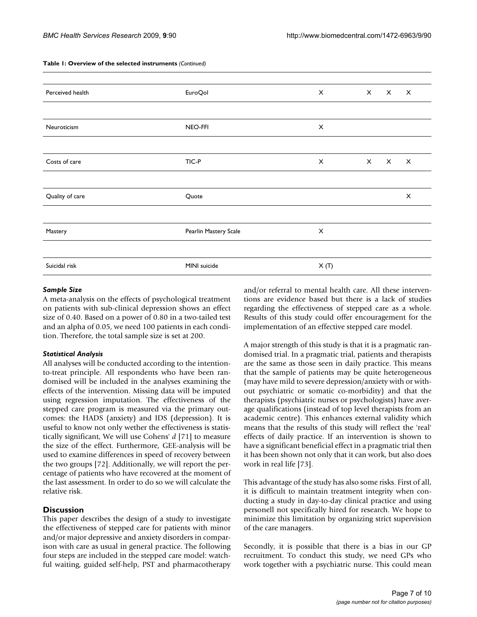| Perceived health | <b>EuroQol</b>        | $\mathsf{x}$ | $\times$     | $\mathsf{x}$ | $\times$                  |
|------------------|-----------------------|--------------|--------------|--------------|---------------------------|
|                  |                       |              |              |              |                           |
| Neuroticism      | NEO-FFI               | $\times$     |              |              |                           |
|                  |                       |              |              |              |                           |
| Costs of care    | TIC-P                 | X            | $\mathsf{X}$ | $\mathsf{X}$ | $\boldsymbol{\mathsf{X}}$ |
|                  |                       |              |              |              |                           |
| Quality of care  | Quote                 |              |              |              | X                         |
|                  |                       |              |              |              |                           |
| Mastery          | Pearlin Mastery Scale | X            |              |              |                           |
|                  |                       |              |              |              |                           |
| Suicidal risk    | MINI suicide          | X(T)         |              |              |                           |
|                  |                       |              |              |              |                           |

# **Table 1: Overview of the selected instruments** *(Continued)*

# *Sample Size*

A meta-analysis on the effects of psychological treatment on patients with sub-clinical depression shows an effect size of 0.40. Based on a power of 0.80 in a two-tailed test and an alpha of 0.05, we need 100 patients in each condition. Therefore, the total sample size is set at 200.

#### *Statistical Analysis*

All analyses will be conducted according to the intentionto-treat principle. All respondents who have been randomised will be included in the analyses examining the effects of the intervention. Missing data will be imputed using regression imputation. The effectiveness of the stepped care program is measured via the primary outcomes: the HADS (anxiety) and IDS (depression). It is useful to know not only wether the effectiveness is statistically significant, We will use Cohens' *d* [71] to measure the size of the effect. Furthermore, GEE-analysis will be used to examine differences in speed of recovery between the two groups [72]. Additionally, we will report the percentage of patients who have recovered at the moment of the last assessment. In order to do so we will calculate the relative risk.

# **Discussion**

This paper describes the design of a study to investigate the effectiveness of stepped care for patients with minor and/or major depressive and anxiety disorders in comparison with care as usual in general practice. The following four steps are included in the stepped care model: watchful waiting, guided self-help, PST and pharmacotherapy

and/or referral to mental health care. All these interventions are evidence based but there is a lack of studies regarding the effectiveness of stepped care as a whole. Results of this study could offer encouragement for the implementation of an effective stepped care model.

A major strength of this study is that it is a pragmatic randomised trial. In a pragmatic trial, patients and therapists are the same as those seen in daily practice. This means that the sample of patients may be quite heterogeneous (may have mild to severe depression/anxiety with or without psychiatric or somatic co-morbidity) and that the therapists (psychiatric nurses or psychologists) have average qualifications (instead of top level therapists from an academic centre). This enhances external validity which means that the results of this study will reflect the 'real' effects of daily practice. If an intervention is shown to have a significant beneficial effect in a pragmatic trial then it has been shown not only that it can work, but also does work in real life [73].

This advantage of the study has also some risks. First of all, it is difficult to maintain treatment integrity when conducting a study in day-to-day clinical practice and using personell not specifically hired for research. We hope to minimize this limitation by organizing strict supervision of the care managers.

Secondly, it is possible that there is a bias in our GP recruitment. To conduct this study, we need GPs who work together with a psychiatric nurse. This could mean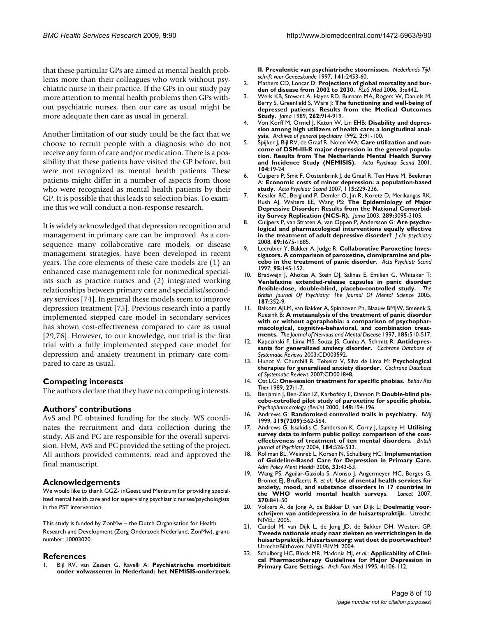that these particular GPs are aimed at mental health problems more than their colleagues who work without psychiatric nurse in their practice. If the GPs in our study pay more attention to mental health problems then GPs without psychiatric nurses, then our care as usual might be more adequate then care as usual in general.

Another limitation of our study could be the fact that we choose to recruit people with a diagnosis who do not receive any form of care and/or medication. There is a possibility that these patients have visited the GP before, but were not recognized as mental health patients. These patients might differ in a number of aspects from those who were recognized as mental health patients by their GP. It is possible that this leads to selection bias. To examine this we will conduct a non-response research.

It is widely acknowledged that depression recognition and management in primary care can be improved. As a consequence many collaborative care models, or disease management strategies, have been developed in recent years. The core elements of these care models are (1) an enhanced case management role for nonmedical specialists such as practice nurses and (2) integrated working relationships between primary care and specialist/secondary services [74]. In general these models seem to improve depression treatment [75]. Previous research into a partly implemented stepped care model in secondary services has shown cost-effectiveness compared to care as usual [29,76]. However, to our knowledge, our trial is the first trial with a fully implemented stepped care model for depression and anxiety treatment in primary care compared to care as usual.

#### **Competing interests**

The authors declare that they have no competing interests.

#### **Authors' contributions**

AvS and PC obtained funding for the study. WS coordinates the recruitment and data collection during the study. AB and PC are responsible for the overall supervision. HvM, AvS and PC provided the setting of the project. All authors provided comments, read and approved the final manuscript.

#### **Acknowledgements**

We would like to thank GGZ- inGeest and Mentrum for providing specialized mental health care and for supervising psychiatric nurses/psychologists in the PST intervention.

This study is funded by ZonMw – the Dutch Organisation for Health Research and Development (Zorg Onderzoek Nederland, ZonMw), grantnumber: 10003020.

#### **References**

1. Bijl RV, van Zessen G, Ravelli A: **[Psychiatrische morbiditeit](http://www.ncbi.nlm.nih.gov/entrez/query.fcgi?cmd=Retrieve&db=PubMed&dopt=Abstract&list_uids=9555131) [onder volwassenen in Nederland: het NEMISIS-onderzoek.](http://www.ncbi.nlm.nih.gov/entrez/query.fcgi?cmd=Retrieve&db=PubMed&dopt=Abstract&list_uids=9555131)**

**[II. Prevalentie van psychiatrische stoornissen.](http://www.ncbi.nlm.nih.gov/entrez/query.fcgi?cmd=Retrieve&db=PubMed&dopt=Abstract&list_uids=9555131)** *Nederlands Tijdschrift voor Geneeskunde* 1997, **141:**2453-60.

- 2. Mathers CD, Loncar D: **[Projections of global mortality and bur](http://www.ncbi.nlm.nih.gov/entrez/query.fcgi?cmd=Retrieve&db=PubMed&dopt=Abstract&list_uids=17132052)[den of disease from 2002 to 2030.](http://www.ncbi.nlm.nih.gov/entrez/query.fcgi?cmd=Retrieve&db=PubMed&dopt=Abstract&list_uids=17132052)** *PLoS Med* 2006, **3:**e442.
- 3. Wells KB, Stewart A, Hayes RD, Burnam MA, Rogers W, Daniels M, Berry S, Greenfield S, Ware J: **[The functioning and well-being of](http://www.ncbi.nlm.nih.gov/entrez/query.fcgi?cmd=Retrieve&db=PubMed&dopt=Abstract&list_uids=2754791) [depressed patients. Results from the Medical Outcomes](http://www.ncbi.nlm.nih.gov/entrez/query.fcgi?cmd=Retrieve&db=PubMed&dopt=Abstract&list_uids=2754791) [Study.](http://www.ncbi.nlm.nih.gov/entrez/query.fcgi?cmd=Retrieve&db=PubMed&dopt=Abstract&list_uids=2754791)** *Jama* 1989, **262:**914-919.
- 4. Von Korff M, Ormel J, Katon W, Lin EHB: **Disability and depression among high utilizers of health care: a longitudinal analysis.** *Archives of general psychiatry* 1992, **2:**91-100.
- 5. Spijker J, Bijl RV, de Graaf R, Nolen WA: **[Care utilization and out](http://www.ncbi.nlm.nih.gov/entrez/query.fcgi?cmd=Retrieve&db=PubMed&dopt=Abstract&list_uids=11437745)[come of DSM-III-R major depression in the general popula](http://www.ncbi.nlm.nih.gov/entrez/query.fcgi?cmd=Retrieve&db=PubMed&dopt=Abstract&list_uids=11437745)tion. Results from The Netherlands Mental Health Survey [and Incidence Study \(NEMISIS\).](http://www.ncbi.nlm.nih.gov/entrez/query.fcgi?cmd=Retrieve&db=PubMed&dopt=Abstract&list_uids=11437745)** *Acta Psychiatr Scand* 2001, **104:**19-24.
- 6. Cuijpers P, Smit F, Oostenbrink J, de Graaf R, Ten Have M, Beekman A: **[Economic costs of minor depression: a population-based](http://www.ncbi.nlm.nih.gov/entrez/query.fcgi?cmd=Retrieve&db=PubMed&dopt=Abstract&list_uids=17302623) [study.](http://www.ncbi.nlm.nih.gov/entrez/query.fcgi?cmd=Retrieve&db=PubMed&dopt=Abstract&list_uids=17302623)** *Acta Psychiatr Scand* 2007, **115:**229-236.
- 7. Kessler RC, Berglund P, Demler O, Jin R, Koretz D, Merikangas RK, Rush AJ, Walters EE, Wang PS: **[The Epidemiology of Major](http://www.ncbi.nlm.nih.gov/entrez/query.fcgi?cmd=Retrieve&db=PubMed&dopt=Abstract&list_uids=12813115) [Depressive Disorder: Results from the National Comorbid](http://www.ncbi.nlm.nih.gov/entrez/query.fcgi?cmd=Retrieve&db=PubMed&dopt=Abstract&list_uids=12813115)[ity Survey Replication \(NCS-R\).](http://www.ncbi.nlm.nih.gov/entrez/query.fcgi?cmd=Retrieve&db=PubMed&dopt=Abstract&list_uids=12813115)** *Jama* 2003, **289:**3095-3105.
- 8. Cuijpers P, van Straten A, van Oppen P, Andersson G: **[Are psycho](http://www.ncbi.nlm.nih.gov/entrez/query.fcgi?cmd=Retrieve&db=PubMed&dopt=Abstract&list_uids=18945396)[logical and pharmacological interventions equally effective](http://www.ncbi.nlm.nih.gov/entrez/query.fcgi?cmd=Retrieve&db=PubMed&dopt=Abstract&list_uids=18945396) [in the treatment of adult depressive disorder?](http://www.ncbi.nlm.nih.gov/entrez/query.fcgi?cmd=Retrieve&db=PubMed&dopt=Abstract&list_uids=18945396)** *J clin psychiatry* 2008, **69:**1675-1685.
- 9. Lecrubier Y, Bakker A, Judge R: **[Collaborative Paroxetine Inves](http://www.ncbi.nlm.nih.gov/entrez/query.fcgi?cmd=Retrieve&db=PubMed&dopt=Abstract&list_uids=9065680)[tigators. A comparison of paroxetine, clomipramine and pla](http://www.ncbi.nlm.nih.gov/entrez/query.fcgi?cmd=Retrieve&db=PubMed&dopt=Abstract&list_uids=9065680)[cebo in the treatment of panic disorder.](http://www.ncbi.nlm.nih.gov/entrez/query.fcgi?cmd=Retrieve&db=PubMed&dopt=Abstract&list_uids=9065680)** *Acta Psychiatr Scand* 1997, **95:**145-152.
- 10. Bradwein J, Ahokas A, Stein DJ, Salinas E, Emilien G, Whitaker T: **[Venlafaxine extended-release capsules in panic disorder:](http://www.ncbi.nlm.nih.gov/entrez/query.fcgi?cmd=Retrieve&db=PubMed&dopt=Abstract&list_uids=16199795) [flexible-dose, double-blind, placebo-controlled study.](http://www.ncbi.nlm.nih.gov/entrez/query.fcgi?cmd=Retrieve&db=PubMed&dopt=Abstract&list_uids=16199795)** *The British Journal Of Psychiatry: The Journal Of Mental Science* 2005, **187:**352-9.
- 11. Balkom AJLM, van Bakker A, Spinhoven Ph, Blaauw BMJW, Smeenk S, Ruesink B: **A metaanalysis of the treatment of panic disorder with or without agoraphobia: a comparison of psychopharmacological, cognitive-behavioral, and combination treatments.** *The Journal of Nervous and Mental Disease* 1997, **185:**510-517.
- 12. Kapczinski F, Lima MS, Souza JS, Cunha A, Schmitt R: **Antidepressants for generalized anxiety disorder.** *Cochrane Database of Systematic Reviews* 2003:CD003592.
- 13. Hunot V, Churchill R, Teixeira V, Silva de Lima M: **Psychological therapies for generalised anxiety disorder.** *Cochrane Database of Systematic Reviews* 2007:CD001848.
- 14. Öst LG: **[One-session treatment for specific phobias.](http://www.ncbi.nlm.nih.gov/entrez/query.fcgi?cmd=Retrieve&db=PubMed&dopt=Abstract&list_uids=2914000)** *Behav Res Ther* 1989, **27:**1-7.
- 15. Benjamin J, Ben-Zion IZ, Karbofsky E, Dannon P: **Double-blind placebo-cotrolled pilot study of paroxetine for specific phobia.** *Psychopharmacology (Berlin)* 2000, **149:**194-196.
- 16. Andrews G: **[Randomised controlled trails in psychiatry.](http://www.ncbi.nlm.nih.gov/entrez/query.fcgi?cmd=Retrieve&db=PubMed&dopt=Abstract&list_uids=10463902)** *BMJ* 1999, **319(7209):**562-564.
- 17. Andrews G, Issakidis C, Sanderson K, Corry J, Lapsley H: **[Utilising](http://www.ncbi.nlm.nih.gov/entrez/query.fcgi?cmd=Retrieve&db=PubMed&dopt=Abstract&list_uids=15172947) [survey data to inform public policy: comparison of the cost](http://www.ncbi.nlm.nih.gov/entrez/query.fcgi?cmd=Retrieve&db=PubMed&dopt=Abstract&list_uids=15172947)[effectiveness of treatment of ten mental disorders.](http://www.ncbi.nlm.nih.gov/entrez/query.fcgi?cmd=Retrieve&db=PubMed&dopt=Abstract&list_uids=15172947)** *British Journal of Psychiatry* 2004, **184:**526-533.
- 18. Rollman BL, Weinreb L, Korsen N, Schulberg HC: **[Implementation](http://www.ncbi.nlm.nih.gov/entrez/query.fcgi?cmd=Retrieve&db=PubMed&dopt=Abstract&list_uids=16215662) [of Guideline-Based Care for Depression in Primary Care.](http://www.ncbi.nlm.nih.gov/entrez/query.fcgi?cmd=Retrieve&db=PubMed&dopt=Abstract&list_uids=16215662)** *Adm Policy Ment Health* 2006, **33:**43-53.
- 19. Wang PS, Aguilar-Gaxiola S, Alonso J, Angermeyer MC, Borges G, Bromet EJ, Bruffaerts R, *et al.*: **[Use of mental health services for](http://www.ncbi.nlm.nih.gov/entrez/query.fcgi?cmd=Retrieve&db=PubMed&dopt=Abstract&list_uids=17826169) [anxiety, mood, and substance disorders in 17 countries in](http://www.ncbi.nlm.nih.gov/entrez/query.fcgi?cmd=Retrieve&db=PubMed&dopt=Abstract&list_uids=17826169)** [the WHO world mental health surveys.](http://www.ncbi.nlm.nih.gov/entrez/query.fcgi?cmd=Retrieve&db=PubMed&dopt=Abstract&list_uids=17826169) **370:**841-50.
- 20. Volkers A, de Jong A, de Bakker D, van Dijk L: **Doelmatig voorschrijven van antidepressiva in de huisartspraktijk.** Utrecht: NIVEL; 2005.
- 21. Cardol M, van Dijk L, de Jong JD, de Bakker DH, Westert GP: **Tweede nationale study naar ziekten en verrrichtingen in de huisartspraktijk. Huisartsenzorg: wat doet de poortwachter?** Utrecht/Bilthoven: NIVEL/RIVM; 2004.
- Schulberg HC, Block MR, Madonia MJ, et al.: **[Applicability of Clini](http://www.ncbi.nlm.nih.gov/entrez/query.fcgi?cmd=Retrieve&db=PubMed&dopt=Abstract&list_uids=7842147)[cal Pharmacotherapy Guidelines for Major Depression in](http://www.ncbi.nlm.nih.gov/entrez/query.fcgi?cmd=Retrieve&db=PubMed&dopt=Abstract&list_uids=7842147) [Primary Care Settings.](http://www.ncbi.nlm.nih.gov/entrez/query.fcgi?cmd=Retrieve&db=PubMed&dopt=Abstract&list_uids=7842147)** *Arch Fam Med* 1995, **4:**106-112.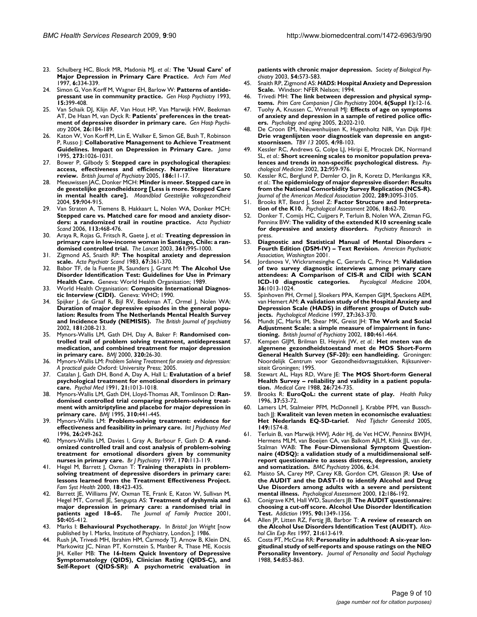- 23. Schulberg HC, Block MR, Madonia MJ, *et al.*: **[The 'Usual Care' of](http://www.ncbi.nlm.nih.gov/entrez/query.fcgi?cmd=Retrieve&db=PubMed&dopt=Abstract&list_uids=9225703) [Major Depression in Primary Care Practice.](http://www.ncbi.nlm.nih.gov/entrez/query.fcgi?cmd=Retrieve&db=PubMed&dopt=Abstract&list_uids=9225703)** *Arch Fam Med* 1997, **6:**334-339.
- 24. Simon G, Von Korff M, Wagner EH, Barlow W: **[Patterns of antide](http://www.ncbi.nlm.nih.gov/entrez/query.fcgi?cmd=Retrieve&db=PubMed&dopt=Abstract&list_uids=8112564)[pressant use in community practice.](http://www.ncbi.nlm.nih.gov/entrez/query.fcgi?cmd=Retrieve&db=PubMed&dopt=Abstract&list_uids=8112564)** *Gen Hosp Psychiatry* 1993, **15:**399-408.
- 25. Van Schaik DJ, Klijn AF, Van Hout HP, Van Marwijk HW, Beekman AT, De Haan M, van Dyck R: **[Patients' preferences in the treat](http://www.ncbi.nlm.nih.gov/entrez/query.fcgi?cmd=Retrieve&db=PubMed&dopt=Abstract&list_uids=15121346)[ment of depressive disorder in primary care.](http://www.ncbi.nlm.nih.gov/entrez/query.fcgi?cmd=Retrieve&db=PubMed&dopt=Abstract&list_uids=15121346)** *Gen Hosp Psychiatry* 2004, **26:**184-189.
- 26. Katon W, Von Korff M, Lin E, Walker E, Simon GE, Bush T, Robinson P, Russo J: **[Collaborative Management to Achieve Treatment](http://www.ncbi.nlm.nih.gov/entrez/query.fcgi?cmd=Retrieve&db=PubMed&dopt=Abstract&list_uids=7897786) [Guidelines. Impact on Depression in Primary Care.](http://www.ncbi.nlm.nih.gov/entrez/query.fcgi?cmd=Retrieve&db=PubMed&dopt=Abstract&list_uids=7897786)** *Jama* 1995, **273:**1026-1031.
- 27. Bower P, Gilbody S: **[Stepped care in psychological therapies:](http://www.ncbi.nlm.nih.gov/entrez/query.fcgi?cmd=Retrieve&db=PubMed&dopt=Abstract&list_uids=15630118) [access, effectiveness and efficiency. Narrative literature](http://www.ncbi.nlm.nih.gov/entrez/query.fcgi?cmd=Retrieve&db=PubMed&dopt=Abstract&list_uids=15630118) [review.](http://www.ncbi.nlm.nih.gov/entrez/query.fcgi?cmd=Retrieve&db=PubMed&dopt=Abstract&list_uids=15630118)** *British Journal of Psychiatry* 2005, **186:**11-17.
- 28. Meeuwissen JAC, Donker MCH: **Minder is meer. Stepped care in de geestelijke gezondheidszorg [Less is more. Stepped Care in mental health care].** *Maandblad Geestelijke volksgezondheid* 2004, **59:**904-915.
- 29. Van Straten A, Tiemens B, Hakkaart L, Nolen WA, Donker MCH: **[Stepped care vs. Matched care for mood and anxiety disor](http://www.ncbi.nlm.nih.gov/entrez/query.fcgi?cmd=Retrieve&db=PubMed&dopt=Abstract&list_uids=16677223)[ders: a randomized trail in routine practice.](http://www.ncbi.nlm.nih.gov/entrez/query.fcgi?cmd=Retrieve&db=PubMed&dopt=Abstract&list_uids=16677223)** *Acta Psychiatr Scand* 2006, **113:**468-476.
- 30. Araya R, Rojas G, Fritsch R, Gaete J, *et al.*: **Treating depression in primary care in low-income woman in Santiago, Chile: a randomised controlled trial.** *The Lancet* 2003, **361:**995-1000.
- 31. Zigmond AS, Snaith RP: **[The hospital anxiety and depression](http://www.ncbi.nlm.nih.gov/entrez/query.fcgi?cmd=Retrieve&db=PubMed&dopt=Abstract&list_uids=6880820) [scale.](http://www.ncbi.nlm.nih.gov/entrez/query.fcgi?cmd=Retrieve&db=PubMed&dopt=Abstract&list_uids=6880820)** *Acta Psychiatr Scand* 1983, **67:**361-370.
- 32. Babor TF, de la Fuente JR, Saunders J, Grant M: **The Alcohol Use Disorder Identification Test: Guidelines for Use in Primary Health Care.** Geneva: World Health Organisation; 1989.
- 33. World Health Organisation: **Composite International Diagnostic Interview (CIDI).** Geneva: WHO; 1990.
- 34. Spijker J, de Graaf R, Bijl RV, Beekman AT, Ormel J, Nolen WA: **[Duration of major depressive episodes in the general popu](http://www.ncbi.nlm.nih.gov/entrez/query.fcgi?cmd=Retrieve&db=PubMed&dopt=Abstract&list_uids=12204924)lation: Results from The Netherlands Mental Health Survey [and Incidence Study \(NEMISIS\).](http://www.ncbi.nlm.nih.gov/entrez/query.fcgi?cmd=Retrieve&db=PubMed&dopt=Abstract&list_uids=12204924)** *The British Journal of psychiatry* 2002, **181:**208-213.
- 35. Mynors-Wallis LM, Gath DH, Day A, Baker F: **[Randomised con](http://www.ncbi.nlm.nih.gov/entrez/query.fcgi?cmd=Retrieve&db=PubMed&dopt=Abstract&list_uids=10617523)[trolled trail of problem solving treatment, antidepressant](http://www.ncbi.nlm.nih.gov/entrez/query.fcgi?cmd=Retrieve&db=PubMed&dopt=Abstract&list_uids=10617523) medication, and combined treatment for major depression [in primary care.](http://www.ncbi.nlm.nih.gov/entrez/query.fcgi?cmd=Retrieve&db=PubMed&dopt=Abstract&list_uids=10617523)** *BMJ* 2000, **320:**26-30.
- 36. Mynors-Wallis LM: *Problem Solving Treatment for anxiety and depression: A practical guide* Oxford: University Press; 2005.
- 37. Catalan J, Gath DH, Bond A, Day A, Hall L: **[Evalutation of a brief](http://www.ncbi.nlm.nih.gov/entrez/query.fcgi?cmd=Retrieve&db=PubMed&dopt=Abstract&list_uids=1780394) [psychological treatment for emotional disorders in primary](http://www.ncbi.nlm.nih.gov/entrez/query.fcgi?cmd=Retrieve&db=PubMed&dopt=Abstract&list_uids=1780394) [care.](http://www.ncbi.nlm.nih.gov/entrez/query.fcgi?cmd=Retrieve&db=PubMed&dopt=Abstract&list_uids=1780394)** *Psychol Med* 1991, **21:**1013-1018.
- 38. Mynors-Wallis LM, Gath DH, Lloyd-Thomas AR, Tomlinson D: **[Ran](http://www.ncbi.nlm.nih.gov/entrez/query.fcgi?cmd=Retrieve&db=PubMed&dopt=Abstract&list_uids=7873952)[domised controlled trial comparing problem-solving treat](http://www.ncbi.nlm.nih.gov/entrez/query.fcgi?cmd=Retrieve&db=PubMed&dopt=Abstract&list_uids=7873952)ment with amitriptyline and placebo for major depression in [primary care.](http://www.ncbi.nlm.nih.gov/entrez/query.fcgi?cmd=Retrieve&db=PubMed&dopt=Abstract&list_uids=7873952)** *BMJ* 1995, **310:**441-445.
- 39. Mynors-Wallis LM: **[Problem-solving treatment: evidence for](http://www.ncbi.nlm.nih.gov/entrez/query.fcgi?cmd=Retrieve&db=PubMed&dopt=Abstract&list_uids=8976466) [effectiveness and feasibility in primary care.](http://www.ncbi.nlm.nih.gov/entrez/query.fcgi?cmd=Retrieve&db=PubMed&dopt=Abstract&list_uids=8976466)** *Int J Psychiatry Med* 1996, **26:**249-262.
- 40. Mynors-Wallis LM, Davies I, Gray A, Barbour F, Gath D: **[A rand](http://www.ncbi.nlm.nih.gov/entrez/query.fcgi?cmd=Retrieve&db=PubMed&dopt=Abstract&list_uids=9093498)[omized controlled trail and cost analysis of problem-solving](http://www.ncbi.nlm.nih.gov/entrez/query.fcgi?cmd=Retrieve&db=PubMed&dopt=Abstract&list_uids=9093498) treatment for emotional disorders given by community [nurses in primary care.](http://www.ncbi.nlm.nih.gov/entrez/query.fcgi?cmd=Retrieve&db=PubMed&dopt=Abstract&list_uids=9093498)** *Br J Psychiatry* 1997, **170:**113-119.
- 41. Hegel M, Barrett J, Oxman T: **Training therapists in problemsolving treatment of depressive disorders in primary care: lessons learned from the Treatment Effectiveness Project.** *Fam Syst Health* 2000, **18:**423-435.
- 42. Barrett JE, Williams JW, Oxman TE, Frank E, Katon W, Sullivan M, Hegel MT, Cornell JE, Sengupta AS: **[Treatment of dyshymia and](http://www.ncbi.nlm.nih.gov/entrez/query.fcgi?cmd=Retrieve&db=PubMed&dopt=Abstract&list_uids=11350703) [major depression in primary care: a randomised trial in](http://www.ncbi.nlm.nih.gov/entrez/query.fcgi?cmd=Retrieve&db=PubMed&dopt=Abstract&list_uids=11350703) [patients aged 18–65.](http://www.ncbi.nlm.nih.gov/entrez/query.fcgi?cmd=Retrieve&db=PubMed&dopt=Abstract&list_uids=11350703)** *The Journal of Family Practice* 2001, **50:**405-412.
- 43. Marks I: **Behavioural Psychotherapy.** In *Bristol: Jon Wright* [now published by I. Marks, Institute of Psychiatry, London.]; 1986.
- Rush JA, Trivedi MH, Ibrahim HM, Carmody TJ, Arnow B, Klein DN, Markowitz JC, Ninan PT, Kornstein S, Manber R, Thase ME, Kocsis JH, Keller MB: **The 16-Item Quick Inventory of Depressive Symptomatology (QIDS), Clinician Rating (QIDS-C), and Self-Report (QIDS-SR): A psychometric evaluation in**

**patients with chronic major depression.** *Society of Biological Psychiatry* 2003, **54:**573-583.

- 45. Snaith RP, Zigmond AS: *HADS***: Hospital Anxiety and Depression Scale.** Windsor: NFER Nelson; 1994.
- 46. Trivedi MH: **[The link between depression and physical symp](http://www.ncbi.nlm.nih.gov/entrez/query.fcgi?cmd=Retrieve&db=PubMed&dopt=Abstract&list_uids=16001092)[toms.](http://www.ncbi.nlm.nih.gov/entrez/query.fcgi?cmd=Retrieve&db=PubMed&dopt=Abstract&list_uids=16001092)** *Prim Care Companion J Clin Psychiatry* 2004, **6(Suppl 1):**12-16.
- 47. Tuohy A, Knussen C, Wrennall MJ: **Effects of age on symptoms of anxiety and depression in a sample of retired police officers.** *Psychology and aging* 2005, **2:**202-210.
- 48. De Croon EM, Nieuwenhuijsen K, Hugenholtz NIR, Van Dijk FJH: **Drie vragenlijsten voor diagnostiek van depressie en angststoornissen.** *TBV 13* 2005, **4:**98-103.
- 49. Kessler RC, Andrews G, Colpe LJ, Hiripi E, Mroczek DK, Normand SL, *et al.*: **[Short screening scales to monitor population preva](http://www.ncbi.nlm.nih.gov/entrez/query.fcgi?cmd=Retrieve&db=PubMed&dopt=Abstract&list_uids=12214795)[lences and trends in non-specific psychological distress.](http://www.ncbi.nlm.nih.gov/entrez/query.fcgi?cmd=Retrieve&db=PubMed&dopt=Abstract&list_uids=12214795)** *Psychological Medicine* 2002, **32:**959-976.
- 50. Kessler RC, Berglund P, Demler O, Jin R, Koretz D, Merikangas KR, *et al.*: **The epidemiology of major depressive disorder: Results from the National Comorbidity Survey Replication (NCS-R).** *Journal of the American Medical Association* 2002, **289:**3095-3105.
- 51. Brooks RT, Beard J, Steel Z: **[Factor Structure and Interpreta](http://www.ncbi.nlm.nih.gov/entrez/query.fcgi?cmd=Retrieve&db=PubMed&dopt=Abstract&list_uids=16594813)[tion of the K10.](http://www.ncbi.nlm.nih.gov/entrez/query.fcgi?cmd=Retrieve&db=PubMed&dopt=Abstract&list_uids=16594813)** *Psychological Assessment* 2006, **18:**62-70.
- 52. Donker T, Comijs HC, Cuijpers P, Terluin B, Nolen WA, Zitman FG, Penninx BW: **The validity of the extended K10 screening scale for depressive and anxiety disorders.** *Psychiatry Research* in press.
- 53. **Diagnostic and Statistical Manual of Mental Disorders – Fourth Edition (DSM-IV) – Text Revision.** *American Psychiatric Association, Washington* 2001.
- 54. Jordanova V, Wickramesinghe C, Gerarda C, Prince M: **Validation of two survey diagnostic interviews among primary care attendees: A Comparison of CIS-R and CIDI with SCAN ICD-10 diagnostic categories.** *Psycological Medicine* 2004, **36:**1013-1024.
- 55. Spinhoven PH, Ormel J, Sloekers PPA, Kempen GIJM, Speckens AEM, van Hemert AM: **[A validation study of the Hospital Anxiety and](http://www.ncbi.nlm.nih.gov/entrez/query.fcgi?cmd=Retrieve&db=PubMed&dopt=Abstract&list_uids=9089829) [Depression Scale \(HADS\) in different groups of Dutch sub](http://www.ncbi.nlm.nih.gov/entrez/query.fcgi?cmd=Retrieve&db=PubMed&dopt=Abstract&list_uids=9089829)[jects.](http://www.ncbi.nlm.nih.gov/entrez/query.fcgi?cmd=Retrieve&db=PubMed&dopt=Abstract&list_uids=9089829)** *Psychological Medicine* 1997, **27:**363-370.
- 56. Mundt JC, Marks IM, Shear MK, Greist JH: **[The Work and Social](http://www.ncbi.nlm.nih.gov/entrez/query.fcgi?cmd=Retrieve&db=PubMed&dopt=Abstract&list_uids=11983645) [Adjustment Scale: a simple measure of impairment in func](http://www.ncbi.nlm.nih.gov/entrez/query.fcgi?cmd=Retrieve&db=PubMed&dopt=Abstract&list_uids=11983645)[tioning.](http://www.ncbi.nlm.nih.gov/entrez/query.fcgi?cmd=Retrieve&db=PubMed&dopt=Abstract&list_uids=11983645)** *British Journal of Psychiatry* 2002, **180:**461-464.
- 57. Kempen GIJM, Brilman EI, Heyink JW, *et al.*: **Het meten van de algemene gezondheidstoestand met de MOS Short-Form General Health Survey (SF-20): een handleiding.** Groningen: Noordelijk Centrum voor Gezondheidsvraagstukken, Rijksuniversiteit Groningen; 1995.
- 58. Stewart AL, Hays RD, Ware JE: **[The MOS Short-form General](http://www.ncbi.nlm.nih.gov/entrez/query.fcgi?cmd=Retrieve&db=PubMed&dopt=Abstract&list_uids=3393032) [Health Survey – reliability and validity in a patient popula](http://www.ncbi.nlm.nih.gov/entrez/query.fcgi?cmd=Retrieve&db=PubMed&dopt=Abstract&list_uids=3393032)[tion.](http://www.ncbi.nlm.nih.gov/entrez/query.fcgi?cmd=Retrieve&db=PubMed&dopt=Abstract&list_uids=3393032)** *Medical Care* 1988, **26:**724-735.
- 59. Brooks R: **[EuroQoL: the current state of play.](http://www.ncbi.nlm.nih.gov/entrez/query.fcgi?cmd=Retrieve&db=PubMed&dopt=Abstract&list_uids=10158943)** *Health Policy* 1996, **37:**53-72.
- 60. Lamers LM, Stalmeier PFM, McDonnell J, Krabbe PFM, van Busschbach JJ: **[Kwaliteit van leven meten in economische evaluaties:](http://www.ncbi.nlm.nih.gov/entrez/query.fcgi?cmd=Retrieve&db=PubMed&dopt=Abstract&list_uids=16038162) [Het Nederlands EQ-5D-tarief.](http://www.ncbi.nlm.nih.gov/entrez/query.fcgi?cmd=Retrieve&db=PubMed&dopt=Abstract&list_uids=16038162)** *Ned Tijdschr Geneeskd* 2005, **149:**1574-8.
- 61. Terluin B, van Marwijk HWJ, Adèr HJ, de Vet HCW, Penninx BWJH, Hermens MLM, van Boeijen CA, van Balkom AJLM, Klink JJL van der, Stalman WAB: **[The Four-Dimensional Symptom Question](http://www.ncbi.nlm.nih.gov/entrez/query.fcgi?cmd=Retrieve&db=PubMed&dopt=Abstract&list_uids=16925825)[naire \(4DSQ\): a validation study of a multidimensional self](http://www.ncbi.nlm.nih.gov/entrez/query.fcgi?cmd=Retrieve&db=PubMed&dopt=Abstract&list_uids=16925825)report questionnaire to assess distress, depression, anxiety [and somatization.](http://www.ncbi.nlm.nih.gov/entrez/query.fcgi?cmd=Retrieve&db=PubMed&dopt=Abstract&list_uids=16925825)** *BMC Psychiatry* 2006, **6:**34.
- 62. Maisto SA, Carey MP, Carey KB, Gordon CM, Gleason JR: **[Use of](http://www.ncbi.nlm.nih.gov/entrez/query.fcgi?cmd=Retrieve&db=PubMed&dopt=Abstract&list_uids=10887764) the AUDIT and the DAST-10 to identify Alcohol and Drug [Use Disorders among adults with a severe and persistent](http://www.ncbi.nlm.nih.gov/entrez/query.fcgi?cmd=Retrieve&db=PubMed&dopt=Abstract&list_uids=10887764) [mental illness.](http://www.ncbi.nlm.nih.gov/entrez/query.fcgi?cmd=Retrieve&db=PubMed&dopt=Abstract&list_uids=10887764)** *Psychological Assessment* 2000, **12:**186-192.
- 63. Conigrave KM, Hall WD, Saunders JB: **[The AUDIT questionnaire:](http://www.ncbi.nlm.nih.gov/entrez/query.fcgi?cmd=Retrieve&db=PubMed&dopt=Abstract&list_uids=8616463) [choosing a cut-off score. Alcohol Use Disorder Identification](http://www.ncbi.nlm.nih.gov/entrez/query.fcgi?cmd=Retrieve&db=PubMed&dopt=Abstract&list_uids=8616463) [Test.](http://www.ncbi.nlm.nih.gov/entrez/query.fcgi?cmd=Retrieve&db=PubMed&dopt=Abstract&list_uids=8616463)** *Addiction* 1995, **90:**1349-1356.
- 64. Allen JP, Litten RZ, Fertig JB, Barbor T: **[A review of research on](http://www.ncbi.nlm.nih.gov/entrez/query.fcgi?cmd=Retrieve&db=PubMed&dopt=Abstract&list_uids=9194913) [the Alcohol Use Disorders Identification Test \(AUDIT\).](http://www.ncbi.nlm.nih.gov/entrez/query.fcgi?cmd=Retrieve&db=PubMed&dopt=Abstract&list_uids=9194913)** *Alcohol Clin Exp Res* 1997, **21:**613-619.
- Costa PT, McCrae RR: Personality in adulthood: A six-year lon**gitudinal study of self-reports and spouse ratings on the NEO Personality Inventory.** *Journal of Personality and Social Psychology* 1988, **54:**853-863.